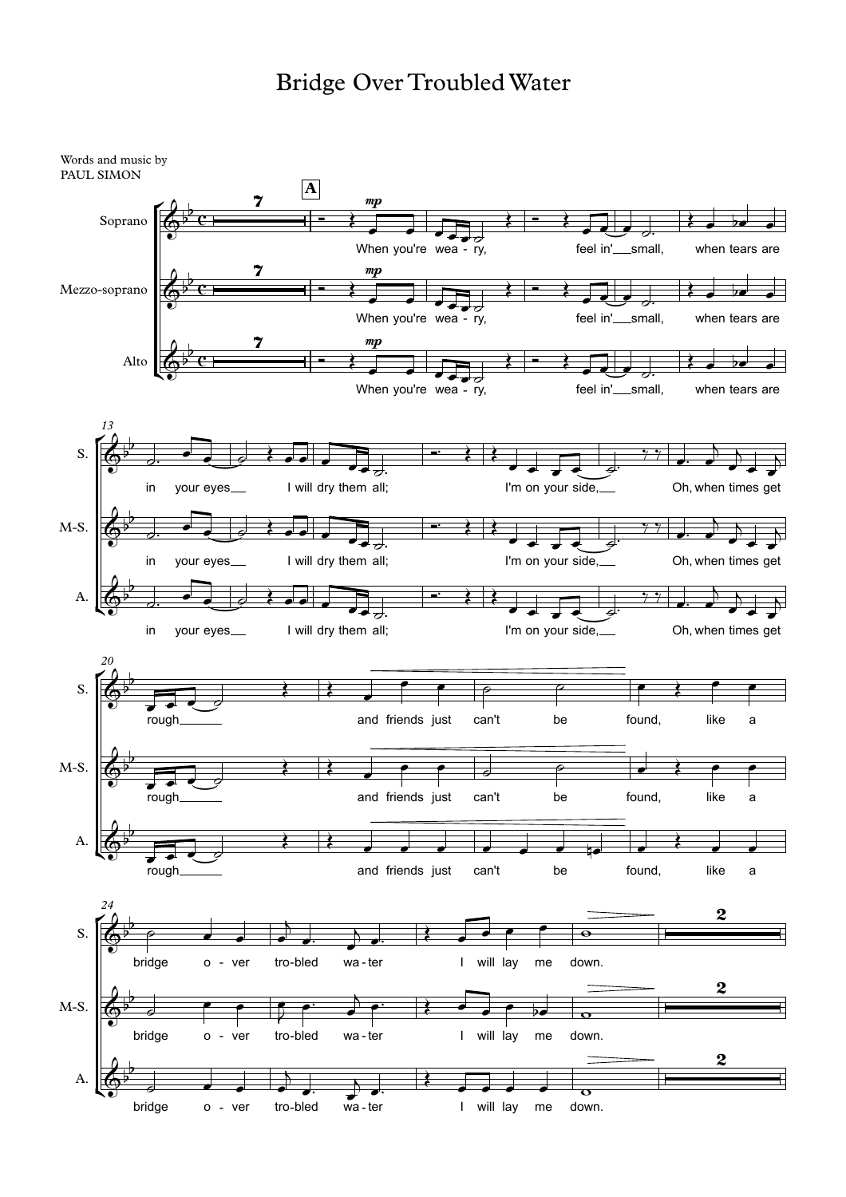## Bridge Over TroubledWater

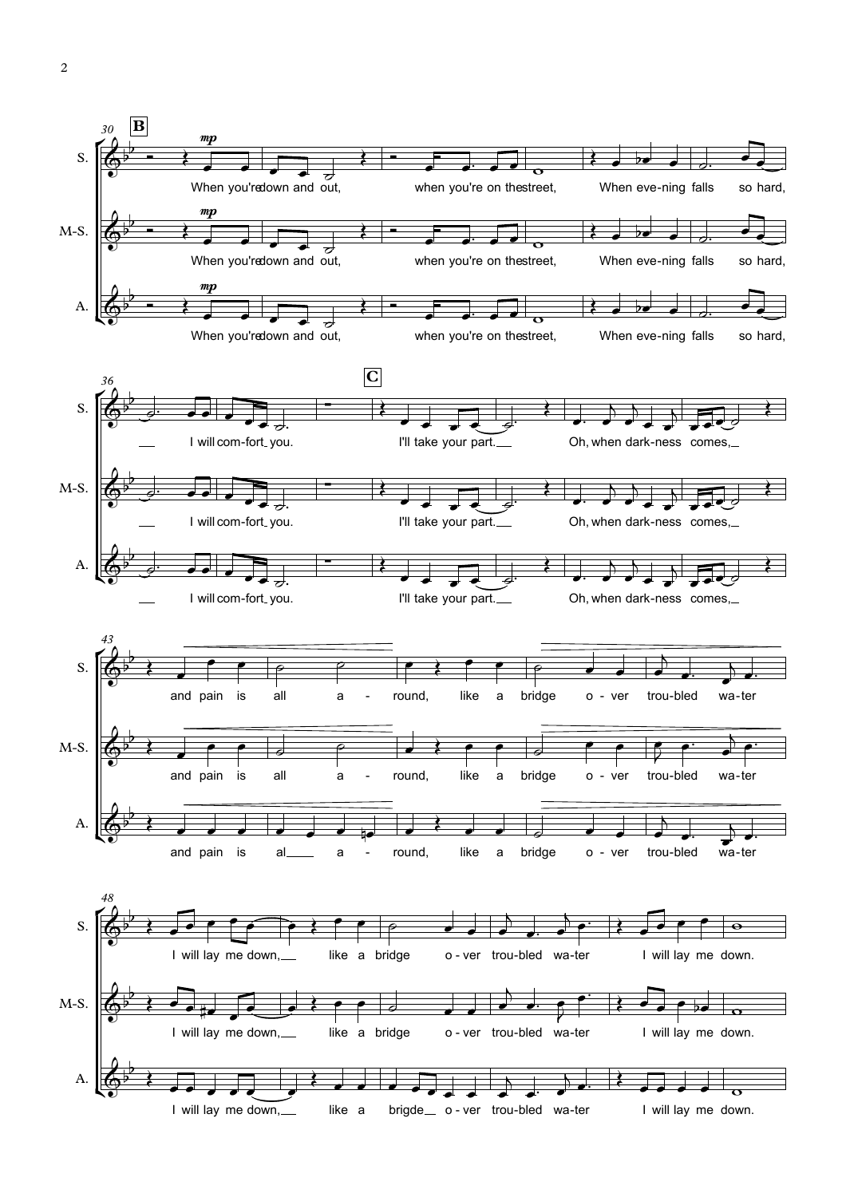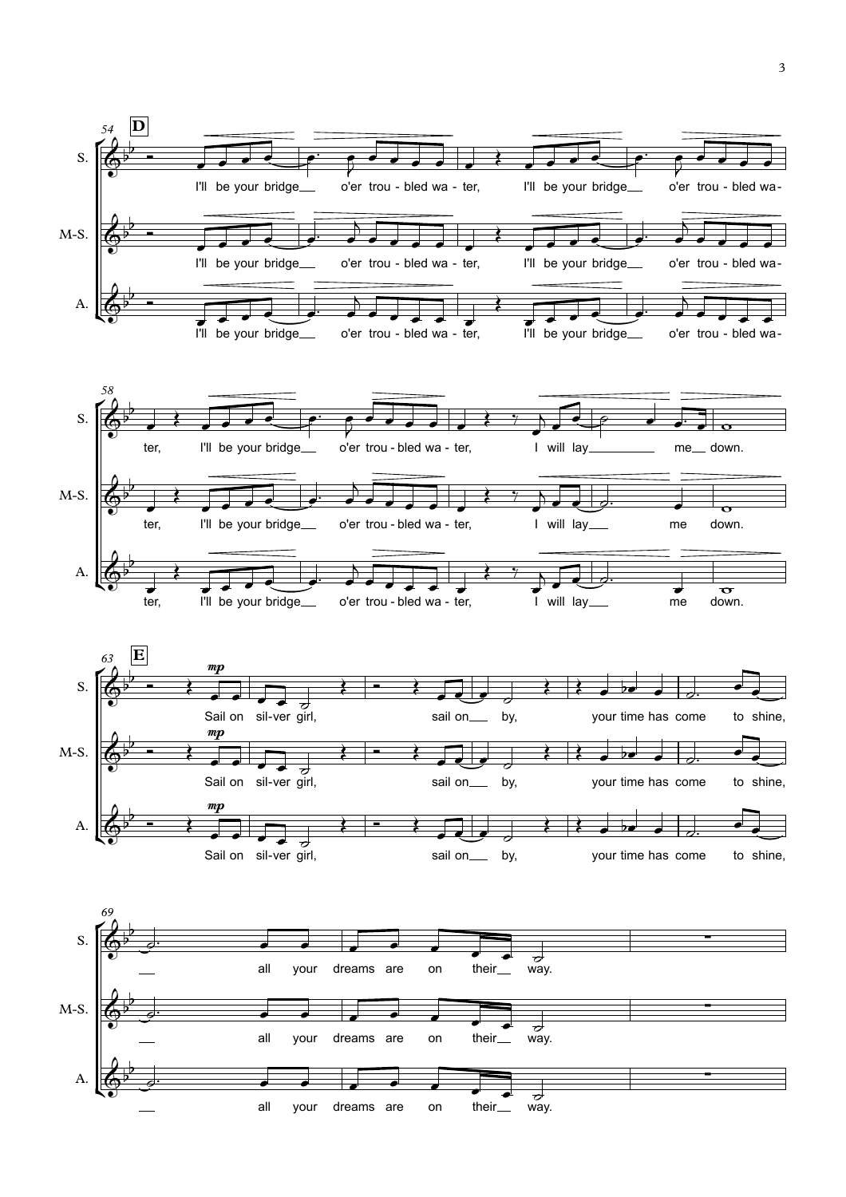